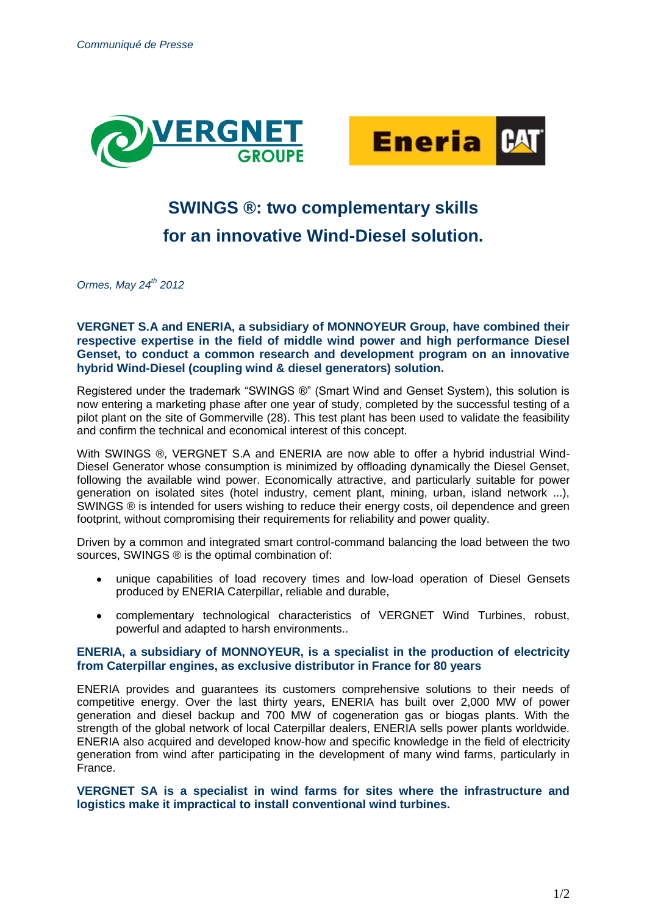



## **SWINGS ®: two complementary skills for an innovative Wind-Diesel solution.**

*Ormes, May 24 th 2012*

**VERGNET S.A and ENERIA, a subsidiary of MONNOYEUR Group, have combined their respective expertise in the field of middle wind power and high performance Diesel Genset, to conduct a common research and development program on an innovative hybrid Wind-Diesel (coupling wind & diesel generators) solution.**

Registered under the trademark "SWINGS ®" (Smart Wind and Genset System), this solution is now entering a marketing phase after one year of study, completed by the successful testing of a pilot plant on the site of Gommerville (28). This test plant has been used to validate the feasibility and confirm the technical and economical interest of this concept.

With SWINGS ®, VERGNET S.A and ENERIA are now able to offer a hybrid industrial Wind-Diesel Generator whose consumption is minimized by offloading dynamically the Diesel Genset, following the available wind power. Economically attractive, and particularly suitable for power generation on isolated sites (hotel industry, cement plant, mining, urban, island network ...), SWINGS ® is intended for users wishing to reduce their energy costs, oil dependence and green footprint, without compromising their requirements for reliability and power quality.

Driven by a common and integrated smart control-command balancing the load between the two sources, SWINGS ® is the optimal combination of:

- unique capabilities of load recovery times and low-load operation of Diesel Gensets produced by ENERIA Caterpillar, reliable and durable,
- complementary technological characteristics of VERGNET Wind Turbines, robust, powerful and adapted to harsh environments..

## **ENERIA, a subsidiary of MONNOYEUR, is a specialist in the production of electricity from Caterpillar engines, as exclusive distributor in France for 80 years**

ENERIA provides and guarantees its customers comprehensive solutions to their needs of competitive energy. Over the last thirty years, ENERIA has built over 2,000 MW of power generation and diesel backup and 700 MW of cogeneration gas or biogas plants. With the strength of the global network of local Caterpillar dealers, ENERIA sells power plants worldwide. ENERIA also acquired and developed know-how and specific knowledge in the field of electricity generation from wind after participating in the development of many wind farms, particularly in France.

**VERGNET SA is a specialist in wind farms for sites where the infrastructure and logistics make it impractical to install conventional wind turbines.**